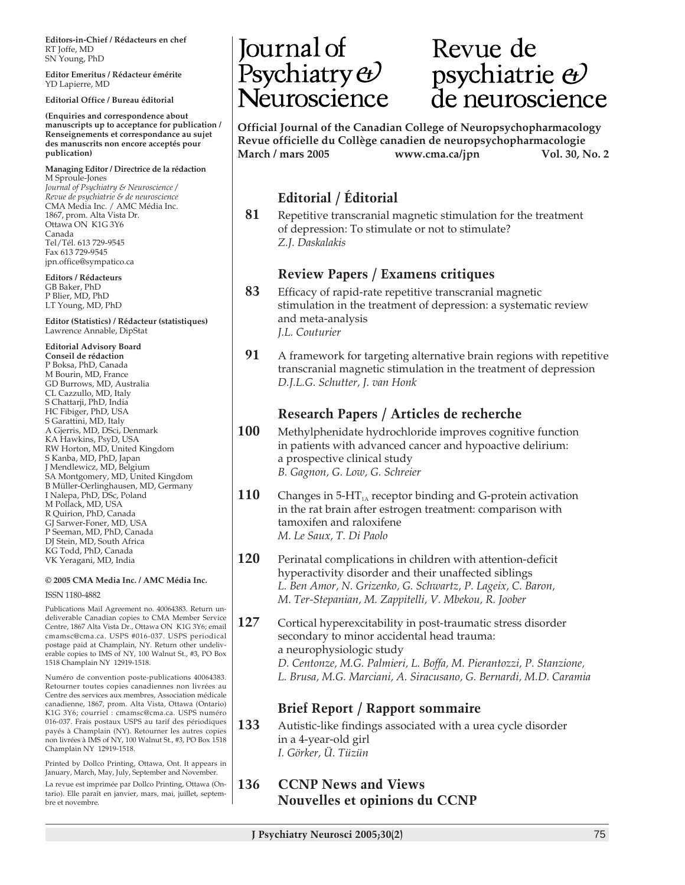**Editors-in-Chief / Rédacteurs en chef** RT Joffe, MD SN Young, PhD

**Editor Emeritus / Rédacteur émérite** YD Lapierre, MD

**Editorial Office / Bureau éditorial**

**(Enquiries and correspondence about manuscripts up to acceptance for publication / Renseignements et correspondance au sujet des manuscrits non encore acceptés pour publication)**

**Managing Editor / Directrice de la rédaction**  M Sproule-Jones

*Journal of Psychiatry & Neuroscience / Revue de psychiatrie & de neuroscience* CMA Media Inc. / AMC Média Inc. 1867, prom. Alta Vista Dr. Ottawa ON K1G 3Y6 Canada Tel/Tél. 613 729-9545 Fax 613 729-9545 jpn.office@sympatico.ca

**Editors / Rédacteurs** GB Baker, PhD P Blier, MD, PhD LT Young, MD, PhD

**Editor (Statistics) / Rédacteur (statistiques)** Lawrence Annable, DipStat

**Editorial Advisory Board Conseil de rédaction** P Boksa, PhD, Canada M Bourin, MD, France GD Burrows, MD, Australia CL Cazzullo, MD, Italy S Chattarji, PhD, India HC Fibiger, PhD, USA S Garattini, MD, Italy A Gjerris, MD, DSci, Denmark KA Hawkins, PsyD, USA RW Horton, MD, United Kingdom S Kanba, MD, PhD, Japan J Mendlewicz, MD, Belgium SA Montgomery, MD, United Kingdom B Müller-Oerlinghausen, MD, Germany I Nalepa, PhD, DSc, Poland M Pollack, MD, USA R Quirion, PhD, Canada GJ Sarwer-Foner, MD, USA P Seeman, MD, PhD, Canada DJ Stein, MD, South Africa KG Todd, PhD, Canada VK Yeragani, MD, India

#### **© 2005 CMA Media Inc. / AMC Média Inc.**

ISSN 1180-4882

Publications Mail Agreement no. 40064383. Return undeliverable Canadian copies to CMA Member Service Centre, 1867 Alta Vista Dr., Ottawa ON K1G 3Y6; email cmamsc@cma.ca. USPS #016-037. USPS periodical postage paid at Champlain, NY. Return other undeliverable copies to IMS of NY, 100 Walnut St., #3, PO Box 1518 Champlain NY 12919-1518.

Numéro de convention poste-publications 40064383. Retourner toutes copies canadiennes non livrées au Centre des services aux membres, Association médicale canadienne, 1867, prom. Alta Vista, Ottawa (Ontario) K1G 3Y6; courriel : cmamsc@cma.ca. USPS numéro 016-037. Frais postaux USPS au tarif des périodiques payés à Champlain (NY). Retourner les autres copies non livrées à IMS of NY, 100 Walnut St., #3, PO Box 1518 Champlain NY 12919-1518.

Printed by Dollco Printing, Ottawa, Ont. It appears in January, March, May, July, September and November.

La revue est imprimée par Dollco Printing, Ottawa (Ontario). Elle paraît en janvier, mars, mai, juillet, septembre et novembre*.*

# Journal of Psychiatry  $\Theta$ Neuroscience

# Revue de psychiatrie & de neuroscience

**Official Journal of the Canadian College of Neuropsychopharmacology Revue officielle du Collège canadien de neuropsychopharmacologie March / mars 2005 www.cma.ca/jpn Vol. 30, No. 2**

# **Editorial / Éditorial**

**81** Repetitive transcranial magnetic stimulation for the treatment of depression: To stimulate or not to stimulate? *Z.J. Daskalakis*

### **Review Papers / Examens critiques**

- **83** Efficacy of rapid-rate repetitive transcranial magnetic stimulation in the treatment of depression: a systematic review and meta-analysis *J.L. Couturier*
- **91** A framework for targeting alternative brain regions with repetitive transcranial magnetic stimulation in the treatment of depression *D.J.L.G. Schutter, J. van Honk*

# **Research Papers / Articles de recherche**

- **100** Methylphenidate hydrochloride improves cognitive function in patients with advanced cancer and hypoactive delirium: a prospective clinical study *B. Gagnon, G. Low, G. Schreier*
- **110** Changes in 5-HT<sub>1A</sub> receptor binding and G-protein activation in the rat brain after estrogen treatment: comparison with tamoxifen and raloxifene *M. Le Saux, T. Di Paolo*
- **120** Perinatal complications in children with attention-deficit hyperactivity disorder and their unaffected siblings *L. Ben Amor, N. Grizenko, G. Schwartz, P. Lageix, C. Baron, M. Ter-Stepanian, M. Zappitelli, V. Mbekou, R. Joober*
- **127** Cortical hyperexcitability in post-traumatic stress disorder secondary to minor accidental head trauma: a neurophysiologic study *D. Centonze, M.G. Palmieri, L. Boffa, M. Pierantozzi, P. Stanzione, L. Brusa, M.G. Marciani, A. Siracusano, G. Bernardi, M.D. Caramia*

### **Brief Report / Rapport sommaire**

**133** Autistic-like findings associated with a urea cycle disorder in a 4-year-old girl *I. Görker, Ü. Tüzün*

### **136 CCNP News and Views Nouvelles et opinions du CCNP**